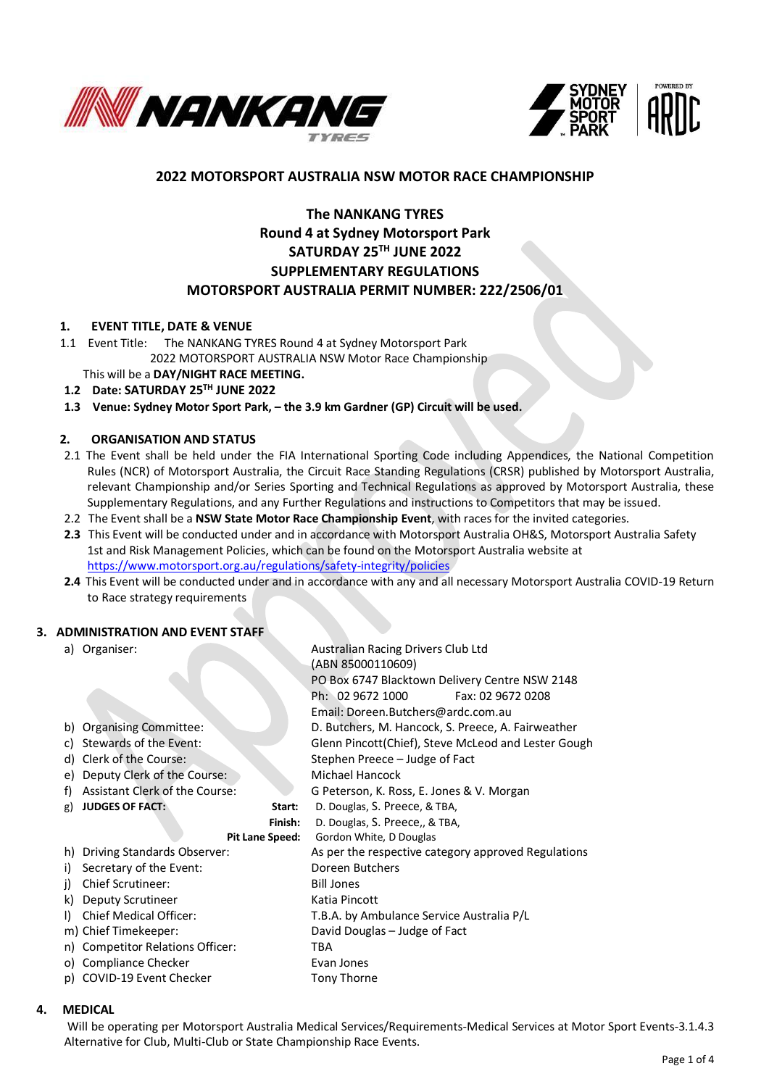



# **2022 MOTORSPORT AUSTRALIA NSW MOTOR RACE CHAMPIONSHIP**

# **The NANKANG TYRES Round 4 at Sydney Motorsport Park SATURDAY 25TH JUNE 2022 SUPPLEMENTARY REGULATIONS MOTORSPORT AUSTRALIA PERMIT NUMBER: 222/2506/01**

## **1. EVENT TITLE, DATE & VENUE**

- 1.1 Event Title: The NANKANG TYRES Round 4 at Sydney Motorsport Park 2022 MOTORSPORT AUSTRALIA NSW Motor Race Championship
- This will be a **DAY/NIGHT RACE MEETING. 1.2 Date: SATURDAY 25TH JUNE 2022**
- 

# 1.3 Venue: Sydney Motor Sport Park, - the 3.9 km Gardner (GP) Circuit will be used.

## **2. ORGANISATION AND STATUS**

- 2.1 The Event shall be held under the FIA International Sporting Code including Appendices, the National Competition Rules (NCR) of Motorsport Australia, the Circuit Race Standing Regulations (CRSR) published by Motorsport Australia, relevant Championship and/or Series Sporting and Technical Regulations as approved by Motorsport Australia, these Supplementary Regulations, and any Further Regulations and instructions to Competitors that may be issued.
- 2.2 The Event shall be a **NSW State Motor Race Championship Event**, with races for the invited categories.
- **2.3** This Event will be conducted under and in accordance with Motorsport Australia OH&S, Motorsport Australia Safety 1st and Risk Management Policies, which can be found on the Motorsport Australia website at <https://www.motorsport.org.au/regulations/safety-integrity/policies>
- **2.4** This Event will be conducted under and in accordance with any and all necessary Motorsport Australia COVID-19 Return to Race strategy requirements

Australian Racing Drivers Club Ltd

# **3. ADMINISTRATION AND EVENT STAFF**

| a) Organiser: |
|---------------|
|---------------|

|                 |                                  |  | (ABN 85000110609)                                   |  |  |
|-----------------|----------------------------------|--|-----------------------------------------------------|--|--|
|                 |                                  |  | PO Box 6747 Blacktown Delivery Centre NSW 2148      |  |  |
|                 |                                  |  | Ph: 02 9672 1000<br>Fax: 02 9672 0208               |  |  |
|                 |                                  |  | Email: Doreen.Butchers@ardc.com.au                  |  |  |
| b)              | <b>Organising Committee:</b>     |  | D. Butchers, M. Hancock, S. Preece, A. Fairweather  |  |  |
| c)              | Stewards of the Event:           |  | Glenn Pincott(Chief), Steve McLeod and Lester Gough |  |  |
| d)              | Clerk of the Course:             |  | Stephen Preece – Judge of Fact                      |  |  |
| e)              | Deputy Clerk of the Course:      |  | Michael Hancock                                     |  |  |
| f)              | Assistant Clerk of the Course:   |  | G Peterson, K. Ross, E. Jones & V. Morgan           |  |  |
| g)              | <b>JUDGES OF FACT:</b><br>Start: |  | D. Douglas, S. Preece, & TBA,                       |  |  |
|                 | Finish:                          |  | D. Douglas, S. Preece,, & TBA,                      |  |  |
| Pit Lane Speed: |                                  |  | Gordon White, D Douglas                             |  |  |
| h)              | Driving Standards Observer:      |  | As per the respective category approved Regulations |  |  |
| i)              | Secretary of the Event:          |  | Doreen Butchers                                     |  |  |
| i)              | <b>Chief Scrutineer:</b>         |  | <b>Bill Jones</b>                                   |  |  |
| k)              | Deputy Scrutineer                |  | Katia Pincott                                       |  |  |
| $\Box$          | <b>Chief Medical Officer:</b>    |  | T.B.A. by Ambulance Service Australia P/L           |  |  |
|                 | m) Chief Timekeeper:             |  | David Douglas - Judge of Fact                       |  |  |
|                 | n) Competitor Relations Officer: |  | TBA                                                 |  |  |
|                 | o) Compliance Checker            |  | Evan Jones                                          |  |  |
|                 | p) COVID-19 Event Checker        |  | <b>Tony Thorne</b>                                  |  |  |

#### **4. MEDICAL**

Will be operating per Motorsport Australia Medical Services/Requirements-Medical Services at Motor Sport Events-3.1.4.3 Alternative for Club, Multi-Club or State Championship Race Events.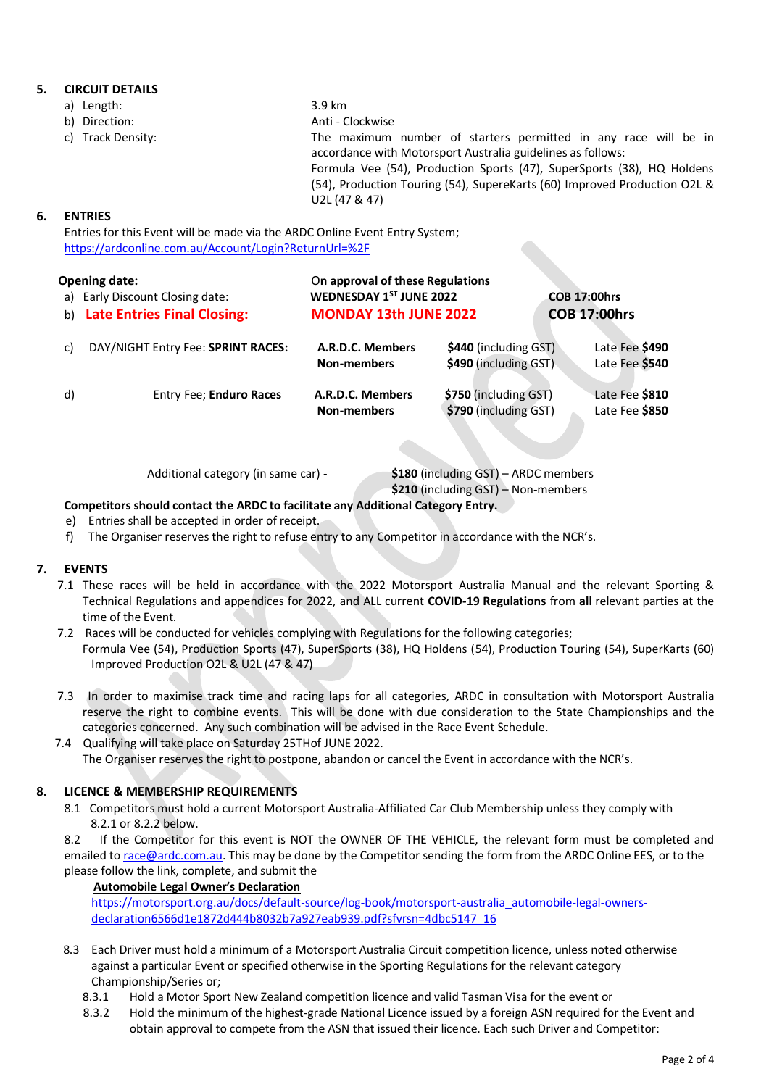# **5. CIRCUIT DETAILS**

- a) Length: 3.9 km
	-
- 

b) Direction: Anti - Clockwise c) Track Density: The maximum number of starters permitted in any race will be in accordance with Motorsport Australia guidelines as follows: Formula Vee (54), Production Sports (47), SuperSports (38), HQ Holdens (54), Production Touring (54), SupereKarts (60) Improved Production O2L & U2L (47 & 47)

# **6. ENTRIES**

Entries for this Event will be made via the ARDC Online Event Entry System; <https://ardconline.com.au/Account/Login?ReturnUrl=%2F>

| b) | <b>Opening date:</b><br>a) Early Discount Closing date:<br><b>Late Entries Final Closing:</b> | On approval of these Regulations<br>WEDNESDAY 1ST JUNE 2022<br><b>MONDAY 13th JUNE 2022</b> | <b>COB 17:00hrs</b><br><b>COB 17:00hrs</b>     |                                  |
|----|-----------------------------------------------------------------------------------------------|---------------------------------------------------------------------------------------------|------------------------------------------------|----------------------------------|
| C) | DAY/NIGHT Entry Fee: SPRINT RACES:                                                            | A.R.D.C. Members<br><b>Non-members</b>                                                      | \$440 (including GST)<br>\$490 (including GST) | Late Fee \$490<br>Late Fee \$540 |
| d) | Entry Fee; Enduro Races                                                                       | A.R.D.C. Members<br><b>Non-members</b>                                                      | \$750 (including GST)<br>\$790 (including GST) | Late Fee \$810<br>Late Fee \$850 |

Additional category (in same car) - **\$180** (including GST) – ARDC members

 **\$210** (including GST) – Non-members

# **Competitors should contact the ARDC to facilitate any Additional Category Entry.**

- e) Entries shall be accepted in order of receipt.
- f) The Organiser reserves the right to refuse entry to any Competitor in accordance with the NCR's.

# **7. EVENTS**

- 7.1 These races will be held in accordance with the 2022 Motorsport Australia Manual and the relevant Sporting & Technical Regulations and appendices for 2022, and ALL current **COVID-19 Regulations** from **al**l relevant parties at the time of the Event.
- 7.2 Races will be conducted for vehicles complying with Regulations for the following categories; Formula Vee (54), Production Sports (47), SuperSports (38), HQ Holdens (54), Production Touring (54), SuperKarts (60) Improved Production O2L & U2L (47 & 47)
- 7.3 In order to maximise track time and racing laps for all categories, ARDC in consultation with Motorsport Australia reserve the right to combine events. This will be done with due consideration to the State Championships and the categories concerned. Any such combination will be advised in the Race Event Schedule.
- 7.4 Qualifying will take place on Saturday 25THof JUNE 2022. The Organiser reserves the right to postpone, abandon or cancel the Event in accordance with the NCR's.

# **8. LICENCE & MEMBERSHIP REQUIREMENTS**

 8.1 Competitors must hold a current Motorsport Australia-Affiliated Car Club Membership unless they comply with 8.2.1 or 8.2.2 below.

8.2 If the Competitor for this event is NOT the OWNER OF THE VEHICLE, the relevant form must be completed and emailed t[o race@ardc.com.au.](mailto:race@ardc.com.au) This may be done by the Competitor sending the form from the ARDC Online EES, or to the please follow the link, complete, and submit the

#### **Automobile Legal Owner's Declaration**

[https://motorsport.org.au/docs/default-source/log-book/motorsport-australia\\_automobile-legal-owners](https://motorsport.org.au/docs/default-source/log-book/motorsport-australia_automobile-legal-owners-declaration6566d1e1872d444b8032b7a927eab939.pdf?sfvrsn=4dbc5147_16)[declaration6566d1e1872d444b8032b7a927eab939.pdf?sfvrsn=4dbc5147\\_16](https://motorsport.org.au/docs/default-source/log-book/motorsport-australia_automobile-legal-owners-declaration6566d1e1872d444b8032b7a927eab939.pdf?sfvrsn=4dbc5147_16)

- 8.3 Each Driver must hold a minimum of a Motorsport Australia Circuit competition licence, unless noted otherwise against a particular Event or specified otherwise in the Sporting Regulations for the relevant category Championship/Series or;
	- 8.3.1 Hold a Motor Sport New Zealand competition licence and valid Tasman Visa for the event or
	- 8.3.2 Hold the minimum of the highest-grade National Licence issued by a foreign ASN required for the Event and obtain approval to compete from the ASN that issued their licence. Each such Driver and Competitor: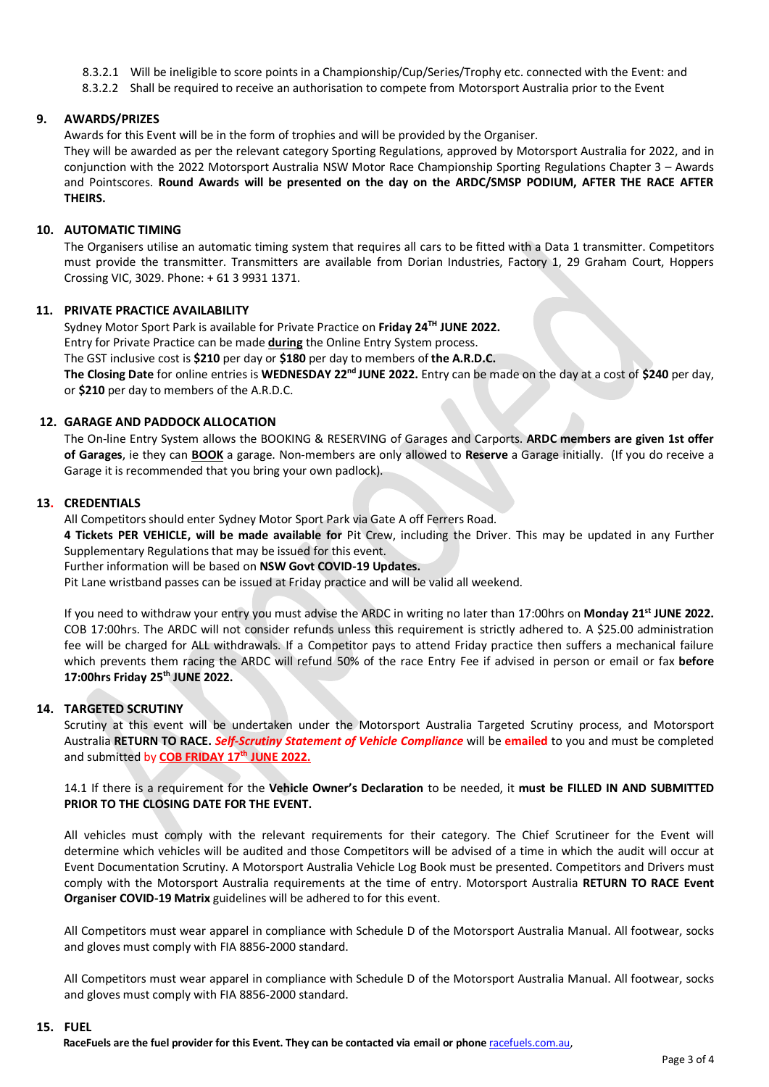- 8.3.2.1 Will be ineligible to score points in a Championship/Cup/Series/Trophy etc. connected with the Event: and
- 8.3.2.2 Shall be required to receive an authorisation to compete from Motorsport Australia prior to the Event

## **9. AWARDS/PRIZES**

Awards for this Event will be in the form of trophies and will be provided by the Organiser.

They will be awarded as per the relevant category Sporting Regulations, approved by Motorsport Australia for 2022, and in conjunction with the 2022 Motorsport Australia NSW Motor Race Championship Sporting Regulations Chapter 3 – Awards and Pointscores. **Round Awards will be presented on the day on the ARDC/SMSP PODIUM, AFTER THE RACE AFTER THEIRS.**

## **10. AUTOMATIC TIMING**

The Organisers utilise an automatic timing system that requires all cars to be fitted with a Data 1 transmitter. Competitors must provide the transmitter. Transmitters are available from Dorian Industries, Factory 1, 29 Graham Court, Hoppers Crossing VIC, 3029. Phone: + 61 3 9931 1371.

#### **11. PRIVATE PRACTICE AVAILABILITY**

 $S$ ydney Motor Sport Park is available for Private Practice on Friday 24<sup>TH</sup> JUNE 2022.

Entry for Private Practice can be made **during** the Online Entry System process.

The GST inclusive cost is **\$210** per day or **\$180** per day to members of **the A.R.D.C.**

**The Closing Date** for online entries is **WEDNESDAY 22nd JUNE 2022.** Entry can be made on the day at a cost of **\$240** per day, or **\$210** per day to members of the A.R.D.C.

## **12. GARAGE AND PADDOCK ALLOCATION**

The On-line Entry System allows the BOOKING & RESERVING of Garages and Carports. **ARDC members are given 1st offer of Garages**, ie they can **BOOK** a garage. Non-members are only allowed to **Reserve** a Garage initially. (If you do receive a Garage it is recommended that you bring your own padlock).

## **13. CREDENTIALS**

All Competitors should enter Sydney Motor Sport Park via Gate A off Ferrers Road.

**4 Tickets PER VEHICLE, will be made available for** Pit Crew, including the Driver. This may be updated in any Further Supplementary Regulations that may be issued for this event.

Further information will be based on **NSW Govt COVID-19 Updates.**

Pit Lane wristband passes can be issued at Friday practice and will be valid all weekend.

If you need to withdraw your entry you must advise the ARDC in writing no later than 17:00hrs on **Monday 21st JUNE 2022.** COB 17:00hrs. The ARDC will not consider refunds unless this requirement is strictly adhered to. A \$25.00 administration fee will be charged for ALL withdrawals. If a Competitor pays to attend Friday practice then suffers a mechanical failure which prevents them racing the ARDC will refund 50% of the race Entry Fee if advised in person or email or fax **before 17:00hrs Friday 25th JUNE 2022.**

# **14. TARGETED SCRUTINY**

Scrutiny at this event will be undertaken under the Motorsport Australia Targeted Scrutiny process, and Motorsport Australia **RETURN TO RACE.** *Self-Scrutiny Statement of Vehicle Compliance* will be **emailed** to you and must be completed and submitted by **COB FRIDAY 17th JUNE 2022.**

## 14.1 If there is a requirement for the **Vehicle Owner's Declaration** to be needed, it **must be FILLED IN AND SUBMITTED PRIOR TO THE CLOSING DATE FOR THE EVENT.**

All vehicles must comply with the relevant requirements for their category. The Chief Scrutineer for the Event will determine which vehicles will be audited and those Competitors will be advised of a time in which the audit will occur at Event Documentation Scrutiny. A Motorsport Australia Vehicle Log Book must be presented. Competitors and Drivers must comply with the Motorsport Australia requirements at the time of entry. Motorsport Australia **RETURN TO RACE Event Organiser COVID-19 Matrix** guidelines will be adhered to for this event.

All Competitors must wear apparel in compliance with Schedule D of the Motorsport Australia Manual. All footwear, socks and gloves must comply with FIA 8856-2000 standard.

All Competitors must wear apparel in compliance with Schedule D of the Motorsport Australia Manual. All footwear, socks and gloves must comply with FIA 8856-2000 standard.

#### **15. FUEL**

RaceFuels are the fuel provider for this Event. They can be contacted via email or phone racefuels.com.au,